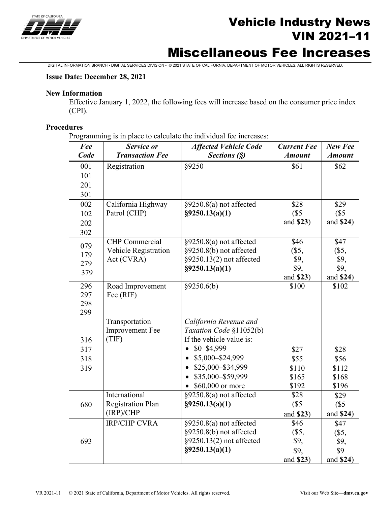

# Vehicle Industry News VIN 2021–11

# Miscellaneous Fee Increases

DIGITAL INFORMATION BRANCH • DIGITAL SERVICES DIVISION • © 2021 STATE OF CALIFORNIA, DEPARTMENT OF MOTOR VEHICLES. ALL RIGHTS RESERVED.

### **Issue Date: December 28, 2021**

#### **New Information**

Effective January 1, 2022, the following fees will increase based on the consumer price index (CPI).

### **Procedures**

Programming is in place to calculate the individual fee increases:

| Fee  | Service or               | <b>Affected Vehicle Code</b>                        | <b>Current Fee</b> | New Fee       |
|------|--------------------------|-----------------------------------------------------|--------------------|---------------|
| Code | <b>Transaction Fee</b>   | Sections (§)                                        | <b>Amount</b>      | <b>Amount</b> |
| 001  | Registration             | §9250                                               | \$61               | \$62          |
| 101  |                          |                                                     |                    |               |
| 201  |                          |                                                     |                    |               |
| 301  |                          |                                                     |                    |               |
| 002  | California Highway       | §9250.8(a) not affected                             | \$28               | \$29          |
| 102  | Patrol (CHP)             | §9250.13(a)(1)                                      | (S <sub>5</sub> )  | (S5)          |
| 202  |                          |                                                     | and \$23)          | and \$24)     |
| 302  |                          |                                                     |                    |               |
| 079  | <b>CHP</b> Commercial    | $§9250.8(a)$ not affected                           | \$46               | \$47          |
| 179  | Vehicle Registration     | §9250.8(b) not affected                             | $(\$5,$            | $(\$5,$       |
| 279  | Act (CVRA)               | §9250.13(2) not affected                            | \$9,               | \$9,          |
| 379  |                          | §9250.13(a)(1)                                      | \$9,               | \$9,          |
|      |                          |                                                     | and \$23)          | and \$24)     |
| 296  | Road Improvement         | §9250.6(b)                                          | \$100              | \$102         |
| 297  | Fee (RIF)                |                                                     |                    |               |
| 298  |                          |                                                     |                    |               |
| 299  |                          |                                                     |                    |               |
|      | Transportation           | California Revenue and                              |                    |               |
|      | <b>Improvement Fee</b>   | Taxation Code §11052(b)<br>If the vehicle value is: |                    |               |
| 316  | (TIF)                    | $$0 - $4,999$                                       |                    |               |
| 317  |                          |                                                     | \$27               | \$28          |
| 318  |                          | \$5,000-\$24,999                                    | \$55               | \$56          |
| 319  |                          | \$25,000-\$34,999                                   | \$110              | \$112         |
|      |                          | \$35,000-\$59,999                                   | \$165              | \$168         |
|      |                          | \$60,000 or more<br>$\bullet$                       | \$192              | \$196         |
|      | International            | §9250.8(a) not affected                             | \$28               | \$29          |
| 680  | <b>Registration Plan</b> | §9250.13(a)(1)                                      | (S5)               | (S5)          |
|      | (IRP)/CHP                |                                                     | and \$23)          | and \$24)     |
|      | <b>IRP/CHP CVRA</b>      | $§9250.8(a)$ not affected                           | \$46               | \$47          |
|      |                          | §9250.8(b) not affected                             | $(\$5,$            | $(\$5,$       |
| 693  |                          | §9250.13(2) not affected                            | \$9,               | \$9,          |
|      |                          | §9250.13(a)(1)                                      | \$9,               | \$9           |
|      |                          |                                                     | and \$23)          | and \$24)     |